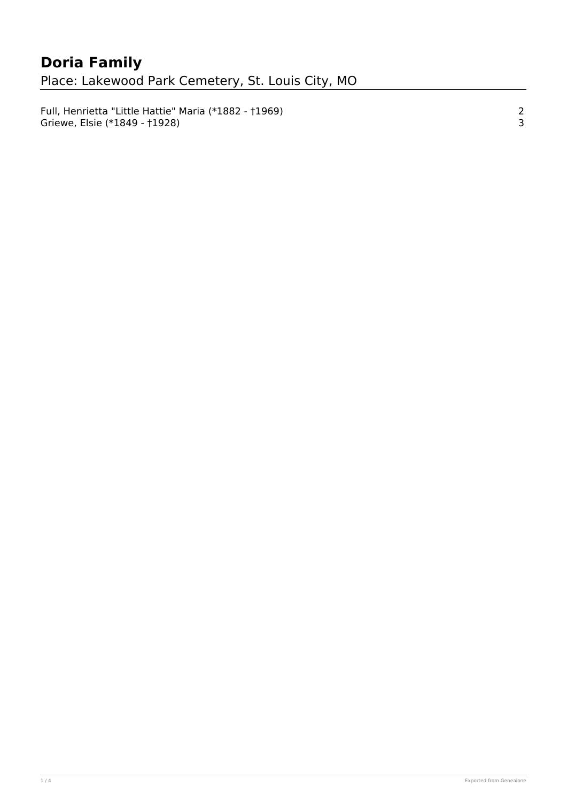[Full, Henrietta "Little Hattie" Maria \(\\*1882 - †1969\) 2](#page-1-0) [Griewe, Elsie \(\\*1849 - †1928\) 3](#page-2-0)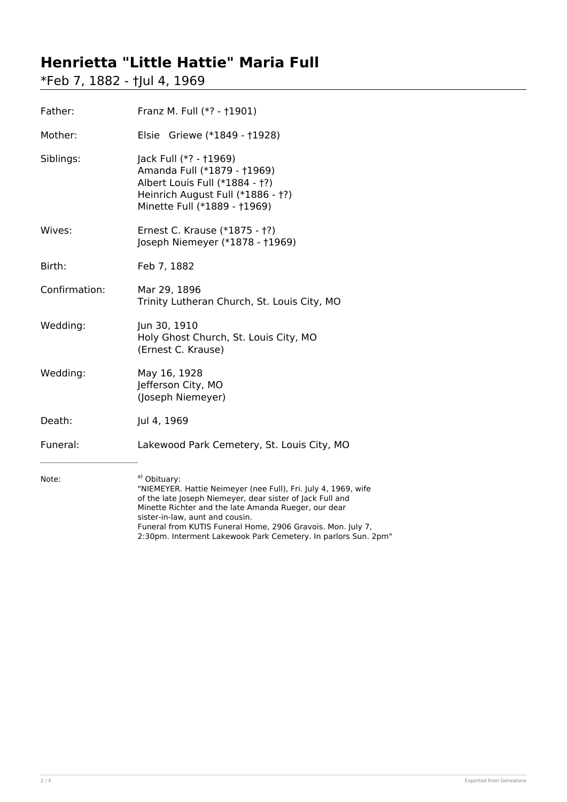## <span id="page-1-0"></span>**Henrietta "Little Hattie" Maria Full**

\*Feb 7, 1882 - †Jul 4, 1969

| Father:       | Franz M. Full (*? - †1901)                                                                                                                                                                                                                                                                                                                                              |
|---------------|-------------------------------------------------------------------------------------------------------------------------------------------------------------------------------------------------------------------------------------------------------------------------------------------------------------------------------------------------------------------------|
| Mother:       | Elsie Griewe (*1849 - †1928)                                                                                                                                                                                                                                                                                                                                            |
| Siblings:     | Jack Full (*? - †1969)<br>Amanda Full (*1879 - †1969)<br>Albert Louis Full (*1884 - †?)<br>Heinrich August Full (*1886 - †?)<br>Minette Full (*1889 - †1969)                                                                                                                                                                                                            |
| Wives:        | Ernest C. Krause (*1875 - †?)<br>Joseph Niemeyer (*1878 - †1969)                                                                                                                                                                                                                                                                                                        |
| Birth:        | Feb 7, 1882                                                                                                                                                                                                                                                                                                                                                             |
| Confirmation: | Mar 29, 1896<br>Trinity Lutheran Church, St. Louis City, MO                                                                                                                                                                                                                                                                                                             |
| Wedding:      | Jun 30, 1910<br>Holy Ghost Church, St. Louis City, MO<br>(Ernest C. Krause)                                                                                                                                                                                                                                                                                             |
| Wedding:      | May 16, 1928<br>Jefferson City, MO<br>(Joseph Niemeyer)                                                                                                                                                                                                                                                                                                                 |
| Death:        | Jul 4, 1969                                                                                                                                                                                                                                                                                                                                                             |
| Funeral:      | Lakewood Park Cemetery, St. Louis City, MO                                                                                                                                                                                                                                                                                                                              |
| Note:         | a) Obituary:<br>"NIEMEYER. Hattie Neimeyer (nee Full), Fri. July 4, 1969, wife<br>of the late Joseph Niemeyer, dear sister of Jack Full and<br>Minette Richter and the late Amanda Rueger, our dear<br>sister-in-law, aunt and cousin.<br>Funeral from KUTIS Funeral Home, 2906 Gravois. Mon. July 7,<br>2:30pm. Interment Lakewook Park Cemetery. In parlors Sun. 2pm" |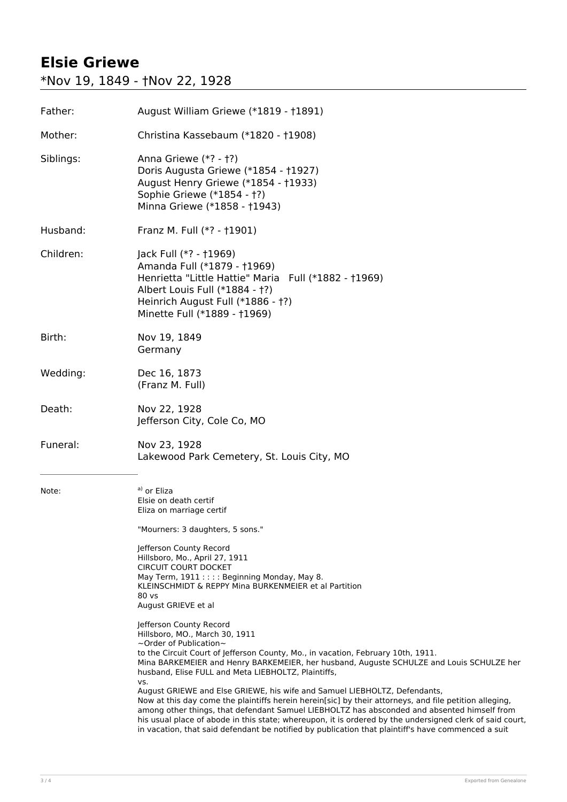## <span id="page-2-0"></span>**Elsie Griewe**

\*Nov 19, 1849 - †Nov 22, 1928

| Father:   | August William Griewe (*1819 - †1891)                                                                                                                                                                                                                                                                                                                                                                                                                                                                                                                                                                                                                                                                                                                                                                                                                                                                                                                                                                                                                                                                                                                                                                   |
|-----------|---------------------------------------------------------------------------------------------------------------------------------------------------------------------------------------------------------------------------------------------------------------------------------------------------------------------------------------------------------------------------------------------------------------------------------------------------------------------------------------------------------------------------------------------------------------------------------------------------------------------------------------------------------------------------------------------------------------------------------------------------------------------------------------------------------------------------------------------------------------------------------------------------------------------------------------------------------------------------------------------------------------------------------------------------------------------------------------------------------------------------------------------------------------------------------------------------------|
| Mother:   | Christina Kassebaum (*1820 - †1908)                                                                                                                                                                                                                                                                                                                                                                                                                                                                                                                                                                                                                                                                                                                                                                                                                                                                                                                                                                                                                                                                                                                                                                     |
| Siblings: | Anna Griewe (*? - †?)<br>Doris Augusta Griewe (*1854 - †1927)<br>August Henry Griewe (*1854 - †1933)<br>Sophie Griewe (*1854 - †?)<br>Minna Griewe (*1858 - †1943)                                                                                                                                                                                                                                                                                                                                                                                                                                                                                                                                                                                                                                                                                                                                                                                                                                                                                                                                                                                                                                      |
| Husband:  | Franz M. Full (*? - †1901)                                                                                                                                                                                                                                                                                                                                                                                                                                                                                                                                                                                                                                                                                                                                                                                                                                                                                                                                                                                                                                                                                                                                                                              |
| Children: | Jack Full (*? - †1969)<br>Amanda Full (*1879 - †1969)<br>Henrietta "Little Hattie" Maria Full (*1882 - †1969)<br>Albert Louis Full (*1884 - †?)<br>Heinrich August Full (*1886 - †?)<br>Minette Full (*1889 - †1969)                                                                                                                                                                                                                                                                                                                                                                                                                                                                                                                                                                                                                                                                                                                                                                                                                                                                                                                                                                                    |
| Birth:    | Nov 19, 1849<br>Germany                                                                                                                                                                                                                                                                                                                                                                                                                                                                                                                                                                                                                                                                                                                                                                                                                                                                                                                                                                                                                                                                                                                                                                                 |
| Wedding:  | Dec 16, 1873<br>(Franz M. Full)                                                                                                                                                                                                                                                                                                                                                                                                                                                                                                                                                                                                                                                                                                                                                                                                                                                                                                                                                                                                                                                                                                                                                                         |
| Death:    | Nov 22, 1928<br>Jefferson City, Cole Co, MO                                                                                                                                                                                                                                                                                                                                                                                                                                                                                                                                                                                                                                                                                                                                                                                                                                                                                                                                                                                                                                                                                                                                                             |
| Funeral:  | Nov 23, 1928<br>Lakewood Park Cemetery, St. Louis City, MO                                                                                                                                                                                                                                                                                                                                                                                                                                                                                                                                                                                                                                                                                                                                                                                                                                                                                                                                                                                                                                                                                                                                              |
| Note:     | a) or Eliza<br>Elsie on death certif<br>Eliza on marriage certif<br>"Mourners: 3 daughters, 5 sons."<br>Jefferson County Record<br>Hillsboro, Mo., April 27, 1911<br><b>CIRCUIT COURT DOCKET</b><br>May Term, 1911 : : : : Beginning Monday, May 8.<br>KLEINSCHMIDT & REPPY Mina BURKENMEIER et al Partition<br>$80$ vs<br>August GRIEVE et al<br>Jefferson County Record<br>Hillsboro, MO., March 30, 1911<br>$\sim$ Order of Publication $\sim$<br>to the Circuit Court of Jefferson County, Mo., in vacation, February 10th, 1911.<br>Mina BARKEMEIER and Henry BARKEMEIER, her husband, Auguste SCHULZE and Louis SCHULZE her<br>husband, Elise FULL and Meta LIEBHOLTZ, Plaintiffs,<br>VS.<br>August GRIEWE and Else GRIEWE, his wife and Samuel LIEBHOLTZ, Defendants,<br>Now at this day come the plaintiffs herein herein[sic] by their attorneys, and file petition alleging,<br>among other things, that defendant Samuel LIEBHOLTZ has absconded and absented himself from<br>his usual place of abode in this state; whereupon, it is ordered by the undersigned clerk of said court,<br>in vacation, that said defendant be notified by publication that plaintiff's have commenced a suit |